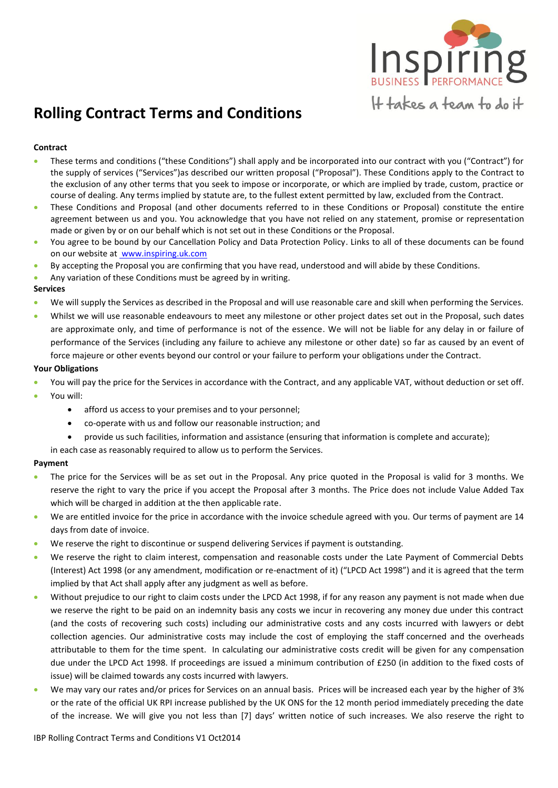

# **Rolling Contract Terms and Conditions**

# **Contract**

- These terms and conditions ("these Conditions") shall apply and be incorporated into our contract with you ("Contract") for the supply of services ("Services")as described our written proposal ("Proposal"). These Conditions apply to the Contract to the exclusion of any other terms that you seek to impose or incorporate, or which are implied by trade, custom, practice or course of dealing. Any terms implied by statute are, to the fullest extent permitted by law, excluded from the Contract.
- These Conditions and Proposal (and other documents referred to in these Conditions or Proposal) constitute the entire agreement between us and you. You acknowledge that you have not relied on any statement, promise or representation made or given by or on our behalf which is not set out in these Conditions or the Proposal.
- You agree to be bound by our Cancellation Policy and Data Protection Policy. Links to all of these documents can be found on our website at www.inspiring.uk.com
- By accepting the Proposal you are confirming that you have read, understood and will abide by these Conditions.
- Any variation of these Conditions must be agreed by in writing.

## **Services**

- We will supply the Services as described in the Proposal and will use reasonable care and skill when performing the Services.
- Whilst we will use reasonable endeavours to meet any milestone or other project dates set out in the Proposal, such dates are approximate only, and time of performance is not of the essence. We will not be liable for any delay in or failure of performance of the Services (including any failure to achieve any milestone or other date) so far as caused by an event of force majeure or other events beyond our control or your failure to perform your obligations under the Contract.

## **Your Obligations**

- You will pay the price for the Services in accordance with the Contract, and any applicable VAT, without deduction or set off.
- You will:
	- afford us access to your premises and to your personnel;
	- co-operate with us and follow our reasonable instruction; and
	- provide us such facilities, information and assistance (ensuring that information is complete and accurate);

in each case as reasonably required to allow us to perform the Services.

## **Payment**

- The price for the Services will be as set out in the Proposal. Any price quoted in the Proposal is valid for 3 months. We reserve the right to vary the price if you accept the Proposal after 3 months. The Price does not include Value Added Tax which will be charged in addition at the then applicable rate.
- We are entitled invoice for the price in accordance with the invoice schedule agreed with you. Our terms of payment are 14 days from date of invoice.
- We reserve the right to discontinue or suspend delivering Services if payment is outstanding.
- We reserve the right to claim interest, compensation and reasonable costs under the Late Payment of Commercial Debts (Interest) Act 1998 (or any amendment, modification or re-enactment of it) ("LPCD Act 1998") and it is agreed that the term implied by that Act shall apply after any judgment as well as before.
- Without prejudice to our right to claim costs under the LPCD Act 1998, if for any reason any payment is not made when due we reserve the right to be paid on an indemnity basis any costs we incur in recovering any money due under this contract (and the costs of recovering such costs) including our administrative costs and any costs incurred with lawyers or debt collection agencies. Our administrative costs may include the cost of employing the staff concerned and the overheads attributable to them for the time spent. In calculating our administrative costs credit will be given for any compensation due under the LPCD Act 1998. If proceedings are issued a minimum contribution of £250 (in addition to the fixed costs of issue) will be claimed towards any costs incurred with lawyers.
- We may vary our rates and/or prices for Services on an annual basis. Prices will be increased each year by the higher of 3% or the rate of the official UK RPI increase published by the UK ONS for the 12 month period immediately preceding the date of the increase. We will give you not less than [7] days' written notice of such increases. We also reserve the right to

IBP Rolling Contract Terms and Conditions V1 Oct2014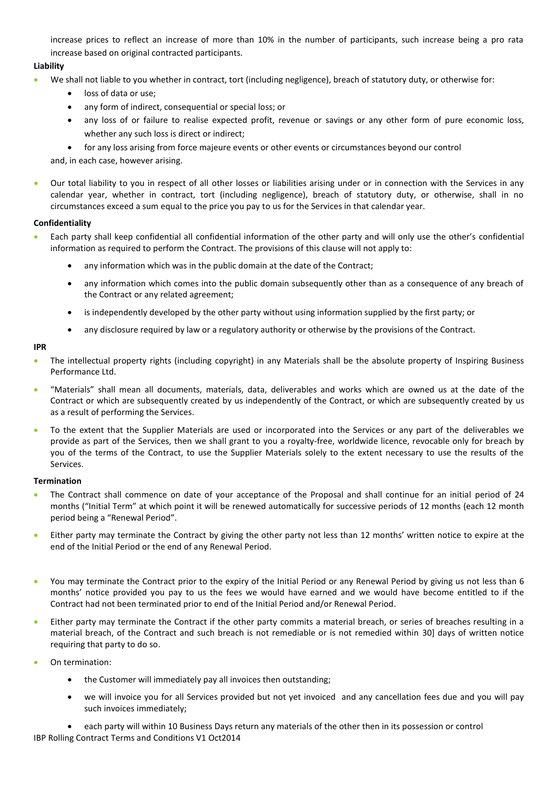increase prices to reflect an increase of more than 10% in the number of participants, such increase being a pro rata increase based on original contracted participants.

# **Liability**

- We shall not liable to you whether in contract, tort (including negligence), breach of statutory duty, or otherwise for:
	- loss of data or use;
	- any form of indirect, consequential or special loss; or
	- any loss of or failure to realise expected profit, revenue or savings or any other form of pure economic loss, whether any such loss is direct or indirect;
	- for any loss arising from force majeure events or other events or circumstances beyond our control

and, in each case, however arising.

 Our total liability to you in respect of all other losses or liabilities arising under or in connection with the Services in any calendar year, whether in contract, tort (including negligence), breach of statutory duty, or otherwise, shall in no circumstances exceed a sum equal to the price you pay to us for the Services in that calendar year.

## **Confidentiality**

- Each party shall keep confidential all confidential information of the other party and will only use the other's confidential information as required to perform the Contract. The provisions of this clause will not apply to:
	- any information which was in the public domain at the date of the Contract;
	- any information which comes into the public domain subsequently other than as a consequence of any breach of the Contract or any related agreement;
	- is independently developed by the other party without using information supplied by the first party; or
	- any disclosure required by law or a regulatory authority or otherwise by the provisions of the Contract.

#### **IPR**

- The intellectual property rights (including copyright) in any Materials shall be the absolute property of Inspiring Business Performance Ltd.
- "Materials" shall mean all documents, materials, data, deliverables and works which are owned us at the date of the Contract or which are subsequently created by us independently of the Contract, or which are subsequently created by us as a result of performing the Services.
- To the extent that the Supplier Materials are used or incorporated into the Services or any part of the deliverables we provide as part of the Services, then we shall grant to you a royalty-free, worldwide licence, revocable only for breach by you of the terms of the Contract, to use the Supplier Materials solely to the extent necessary to use the results of the Services.

## **Termination**

- The Contract shall commence on date of your acceptance of the Proposal and shall continue for an initial period of 24 months ("Initial Term" at which point it will be renewed automatically for successive periods of 12 months (each 12 month period being a "Renewal Period".
- Either party may terminate the Contract by giving the other party not less than 12 months' written notice to expire at the end of the Initial Period or the end of any Renewal Period.
- You may terminate the Contract prior to the expiry of the Initial Period or any Renewal Period by giving us not less than 6 months' notice provided you pay to us the fees we would have earned and we would have become entitled to if the Contract had not been terminated prior to end of the Initial Period and/or Renewal Period.
- Either party may terminate the Contract if the other party commits a material breach, or series of breaches resulting in a material breach, of the Contract and such breach is not remediable or is not remedied within 30] days of written notice requiring that party to do so.
- On termination:
	- the Customer will immediately pay all invoices then outstanding;
	- we will invoice you for all Services provided but not yet invoiced and any cancellation fees due and you will pay such invoices immediately;
- IBP Rolling Contract Terms and Conditions V1 Oct2014 each party will within 10 Business Days return any materials of the other then in its possession or control